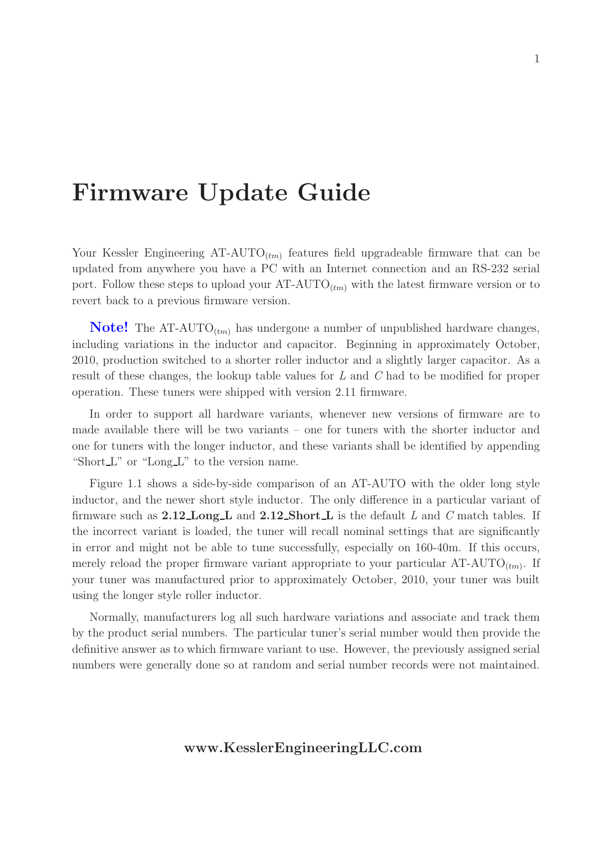# Firmware Update Guide

Your Kessler Engineering  $AT-AUTO_{(tm)}$  features field upgradeable firmware that can be updated from anywhere you have a PC with an Internet connection and an RS-232 serial port. Follow these steps to upload your  $AT-AUTO_{(tm)}$  with the latest firmware version or to revert back to a previous firmware version.

**Note!** The AT-AUTO<sub> $(tm)$ </sub> has undergone a number of unpublished hardware changes, including variations in the inductor and capacitor. Beginning in approximately October, 2010, production switched to a shorter roller inductor and a slightly larger capacitor. As a result of these changes, the lookup table values for L and C had to be modified for proper operation. These tuners were shipped with version 2.11 firmware.

In order to support all hardware variants, whenever new versions of firmware are to made available there will be two variants – one for tuners with the shorter inductor and one for tuners with the longer inductor, and these variants shall be identified by appending "Short  $L$ " or "Long  $L$ " to the version name.

Figure 1.1 shows a side-by-side comparison of an AT-AUTO with the older long style inductor, and the newer short style inductor. The only difference in a particular variant of firmware such as  $2.12 \text{Long } L$  and  $2.12 \text{Short } L$  is the default L and C match tables. If the incorrect variant is loaded, the tuner will recall nominal settings that are significantly in error and might not be able to tune successfully, especially on 160-40m. If this occurs, merely reload the proper firmware variant appropriate to your particular  $AT-AUTO_{(tm)}$ . If your tuner was manufactured prior to approximately October, 2010, your tuner was built using the longer style roller inductor.

Normally, manufacturers log all such hardware variations and associate and track them by the product serial numbers. The particular tuner's serial number would then provide the definitive answer as to which firmware variant to use. However, the previously assigned serial numbers were generally done so at random and serial number records were not maintained.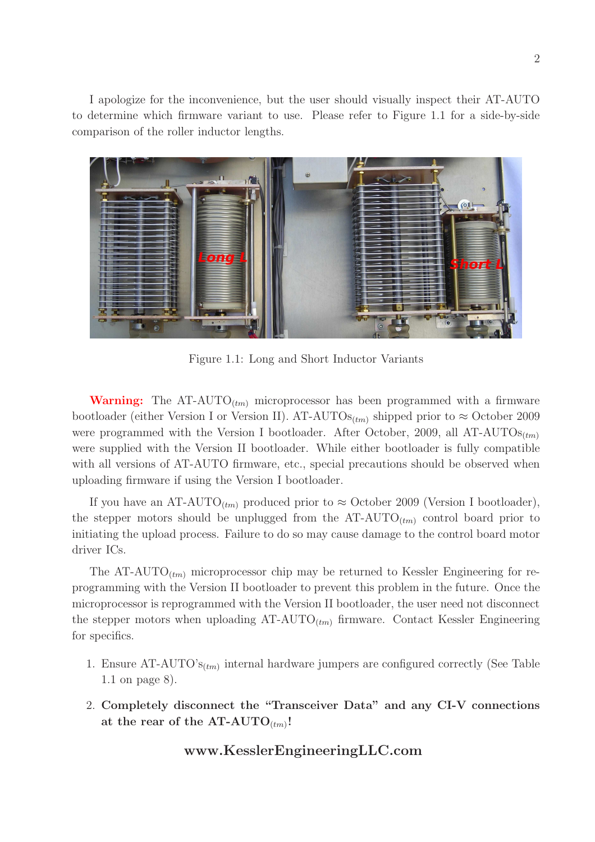I apologize for the inconvenience, but the user should visually inspect their AT-AUTO to determine which firmware variant to use. Please refer to Figure 1.1 for a side-by-side comparison of the roller inductor lengths.



Figure 1.1: Long and Short Inductor Variants

**Warning:** The AT-AUTO<sub>(tm)</sub> microprocessor has been programmed with a firmware bootloader (either Version I or Version II). AT-AUTOs<sub>(tm)</sub> shipped prior to  $\approx$  October 2009 were programmed with the Version I bootloader. After October, 2009, all AT-AUTOs $_{(tm)}$ were supplied with the Version II bootloader. While either bootloader is fully compatible with all versions of AT-AUTO firmware, etc., special precautions should be observed when uploading firmware if using the Version I bootloader.

If you have an AT-AUTO<sub>(tm)</sub> produced prior to  $\approx$  October 2009 (Version I bootloader), the stepper motors should be unplugged from the  $AT-AUTO_{(tm)}$  control board prior to initiating the upload process. Failure to do so may cause damage to the control board motor driver ICs.

The AT-AUTO<sub> $(t_{mn})$ </sub> microprocessor chip may be returned to Kessler Engineering for reprogramming with the Version II bootloader to prevent this problem in the future. Once the microprocessor is reprogrammed with the Version II bootloader, the user need not disconnect the stepper motors when uploading  $AT-AUTO_{(tm)}$  firmware. Contact Kessler Engineering for specifics.

- 1. Ensure  $AT-AUTO's_{(tm)}$  internal hardware jumpers are configured correctly (See Table 1.1 on page 8).
- 2. Completely disconnect the "Transceiver Data" and any CI-V connections at the rear of the  $AT-AUTO_{(tm)}!$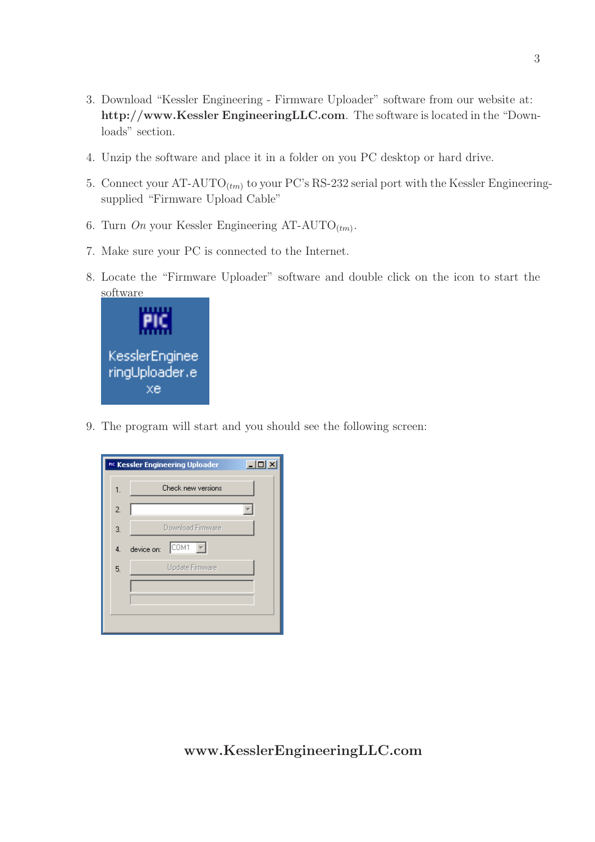- 3. Download "Kessler Engineering Firmware Uploader" software from our website at: http://www.Kessler EngineeringLLC.com. The software is located in the "Downloads" section.
- 4. Unzip the software and place it in a folder on you PC desktop or hard drive.
- 5. Connect your  $AT-AUTO_{(tm)}$  to your PC's RS-232 serial port with the Kessler Engineeringsupplied "Firmware Upload Cable"
- 6. Turn On your Kessler Engineering AT-AUTO<sub>(tm)</sub>.
- 7. Make sure your PC is connected to the Internet.
- 8. Locate the "Firmware Uploader" software and double click on the icon to start the software



9. The program will start and you should see the following screen:

|                | $  \Box$ $\times$<br>PIC Kessler Engineering Uploader |  |
|----------------|-------------------------------------------------------|--|
| 1.             | Check new versions                                    |  |
| $\overline{2}$ |                                                       |  |
| 3.             | Download Firmware                                     |  |
| 4.             | COM1<br>device on:                                    |  |
| 5.             | Update Firmware                                       |  |
|                |                                                       |  |
|                |                                                       |  |
|                |                                                       |  |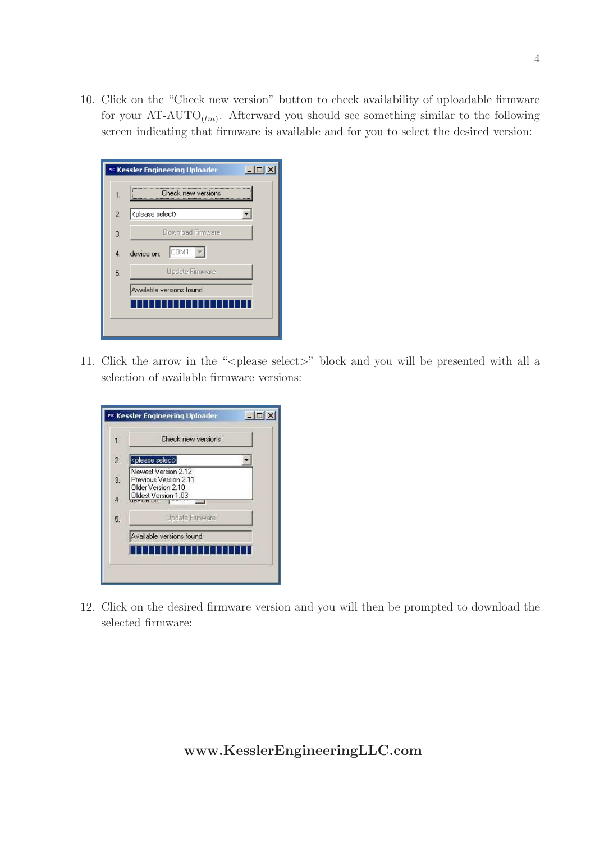10. Click on the "Check new version" button to check availability of uploadable firmware for your  $AT-AUTO_{(tm)}$ . Afterward you should see something similar to the following screen indicating that firmware is available and for you to select the desired version:

|    | $ \Box$ $\times$<br>PIC Kessler Engineering Uploader |
|----|------------------------------------------------------|
| 1. | Check new versions                                   |
| 2. | <please select=""></please>                          |
| 3. | Download Firmware                                    |
| 4. | ICOM1<br>device on:                                  |
| 5. | Update Firmware                                      |
|    | Available versions found.                            |
|    |                                                      |
|    |                                                      |

11. Click the arrow in the "<please select>" block and you will be presented with all a selection of available firmware versions:

| $\mathbf{1}$     | Check new versions                                                                        |
|------------------|-------------------------------------------------------------------------------------------|
| $\overline{2}$   | <please select=""></please>                                                               |
| $\overline{3}$ . | Newest Version 2.12<br>Previous Version 2.11<br>Older Version 2.10<br>Oldest Version 1.03 |
| $\frac{1}{4}$    |                                                                                           |
| 5.               | Update Firmware                                                                           |
|                  | Available versions found.                                                                 |
|                  |                                                                                           |

12. Click on the desired firmware version and you will then be prompted to download the selected firmware: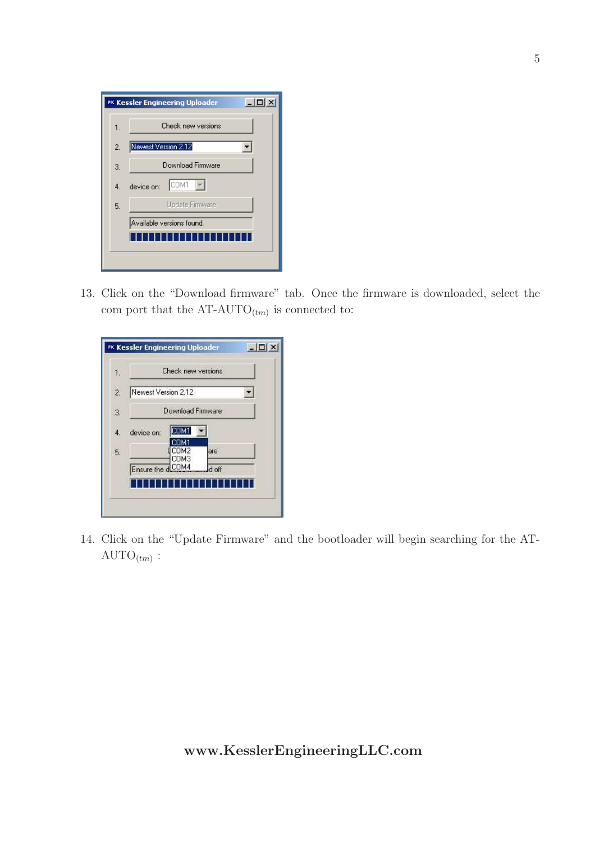|                | $\Box$ DI x<br>PIC Kessler Engineering Uploader |
|----------------|-------------------------------------------------|
| 1.             | Check new versions                              |
| $\overline{2}$ | Newest Version 2.12                             |
| 3.             | Download Firmware                               |
| 4.             | COM1<br>device on:                              |
| 5.             | Update Firmware                                 |
|                | Available versions found.                       |
|                |                                                 |
|                |                                                 |

13. Click on the "Download firmware" tab. Once the firmware is downloaded, select the com port that the  $AT-AUTO_{(tm)}$  is connected to:

| $\overline{2}$<br>Newest Version 2.12<br>Download Firmware<br>$\overline{3}$ .<br>20M1<br>$\ddot{4}$<br>device on: |  |     | Check new versions | $\mathbf{1}$ |
|--------------------------------------------------------------------------------------------------------------------|--|-----|--------------------|--------------|
|                                                                                                                    |  |     |                    |              |
|                                                                                                                    |  |     |                    |              |
|                                                                                                                    |  |     |                    |              |
| сомз                                                                                                               |  | are | COM2               | 5.           |
| Ensure the dCOM4<br>d off                                                                                          |  |     |                    |              |

14. Click on the "Update Firmware" and the bootloader will begin searching for the AT- $\text{AUTO}_{(tm)}$ :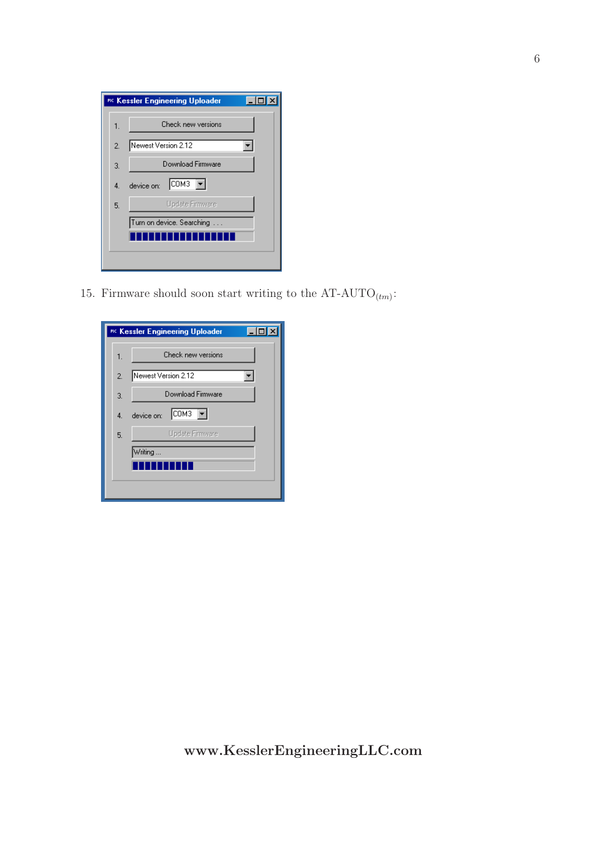|    | PIC Kessler Engineering Uploader |
|----|----------------------------------|
| 1. | Check new versions               |
| 2. | Newest Version 2.12              |
| 3. | Download Firmware                |
| 4. | COM <sub>3</sub><br>device on:   |
| 5. | Update Firmware                  |
|    | Turn on device. Searching        |
|    |                                  |
|    |                                  |
|    |                                  |

15. Firmware should soon start writing to the  $AT-AUTO_{(tm)}$ :

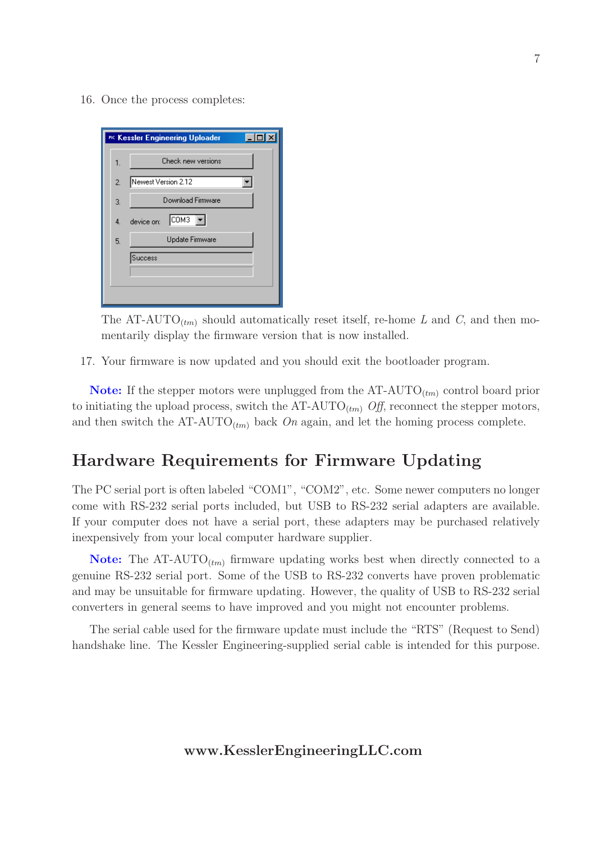16. Once the process completes:



The AT-AUTO<sub>(tm)</sub> should automatically reset itself, re-home L and C, and then momentarily display the firmware version that is now installed.

17. Your firmware is now updated and you should exit the bootloader program.

**Note:** If the stepper motors were unplugged from the  $AT-AUTO_{(tm)}$  control board prior to initiating the upload process, switch the AT-AUTO<sub> $(tm)$ </sub> Off, reconnect the stepper motors, and then switch the  $AT-AUTO_{(tm)}$  back On again, and let the homing process complete.

## Hardware Requirements for Firmware Updating

The PC serial port is often labeled "COM1", "COM2", etc. Some newer computers no longer come with RS-232 serial ports included, but USB to RS-232 serial adapters are available. If your computer does not have a serial port, these adapters may be purchased relatively inexpensively from your local computer hardware supplier.

**Note:** The AT-AUTO<sub> $(tm)$ </sub> firmware updating works best when directly connected to a genuine RS-232 serial port. Some of the USB to RS-232 converts have proven problematic and may be unsuitable for firmware updating. However, the quality of USB to RS-232 serial converters in general seems to have improved and you might not encounter problems.

The serial cable used for the firmware update must include the "RTS" (Request to Send) handshake line. The Kessler Engineering-supplied serial cable is intended for this purpose.